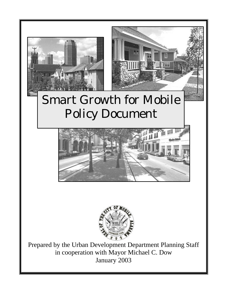

# Smart Growth for Mobile Policy Document





Prepared by the Urban Development Department Planning Staff in cooperation with Mayor Michael C. Dow January 2003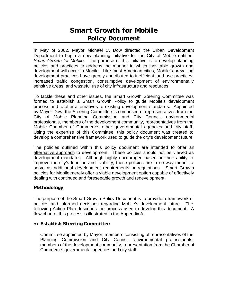### *Smart Growth for Mobile* **Policy Document**

In May of 2002, Mayor Michael C. Dow directed the Urban Development Department to begin a new planning initiative for the City of Mobile entitled, *Smart Growth for Mobile*. The purpose of this initiative is to develop planning policies and practices to address the manner in which inevitable growth and development will occur in Mobile. Like most American cities, Mobile's prevailing development practices have greatly contributed to inefficient land use practices, increased traffic congestion, consumptive development of environmentally sensitive areas, and wasteful use of city infrastructure and resources.

To tackle these and other issues, the Smart Growth Steering Committee was formed to establish a Smart Growth Policy to guide Mobile's development process and to offer alternatives to existing development standards. Appointed by Mayor Dow, the Steering Committee is comprised of representatives from the City of Mobile Planning Commission and City Council, environmental professionals, members of the development community, representatives from the Mobile Chamber of Commerce, other governmental agencies and city staff. Using the expertise of this Committee, this policy document was created to develop a comprehensive framework used to guide the city's development future.

The policies outlined within this policy document are intended to offer an alternative approach to development. These policies should not be viewed as development mandates. Although highly encouraged based on their ability to improve the city's function and livability, these policies are in no way meant to serve as additional development requirements or regulations. Smart Growth policies for Mobile merely offer a viable development option capable of effectively dealing with continued and foreseeable growth and redevelopment.

#### *Methodology*

The purpose of the Smart Growth Policy Document is to provide a framework of policies and informed decisions regarding Mobile's development future. The following Action Plan describes the process used to develop this document. A flow chart of this process is illustrated in the Appendix A.

#### ó **Establish Steering Committee**

Committee appointed by Mayor; members consisting of representatives of the Planning Commission and City Council, environmental professionals, members of the development community, representation from the Chamber of Commerce, governmental agencies and city staff.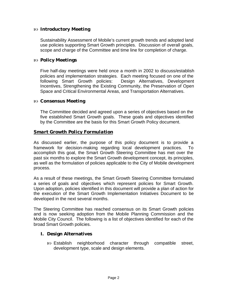#### ó **Introductory Meeting**

Sustainability Assessment of Mobile's current growth trends and adopted land use policies supporting Smart Growth principles. Discussion of overall goals, scope and charge of the Committee and time line for completion of charge.

#### ó **Policy Meetings**

Five half-day meetings were held once a month in 2002 to discuss/establish policies and implementation strategies. Each meeting focused on one of the following Smart Growth policies: Design Alternatives, Development Incentives, Strengthening the Existing Community, the Preservation of Open Space and Critical Environmental Areas, and Transportation Alternatives.

#### ó **Consensus Meeting**

The Committee decided and agreed upon a series of objectives based on the five established Smart Growth goals. These goals and objectives identified by the Committee are the basis for this Smart Growth Policy document.

#### *Smart Growth Policy Formulation*

As discussed earlier, the purpose of this policy document is to provide a framework for decision-making regarding local development practices. To accomplish this goal, the Smart Growth Steering Committee has met over the past six months to explore the Smart Growth development concept, its principles, as well as the formulation of policies applicable to the City of Mobile development process.

As a result of these meetings, the Smart Growth Steering Committee formulated a series of goals and objectives which represent policies for Smart Growth. Upon adoption, policies identified in this document will provide a plan of action for the execution of the Smart Growth Implementation Initiatives Document to be developed in the next several months.

The Steering Committee has reached consensus on its Smart Growth policies and is now seeking adoption from the Mobile Planning Commission and the Mobile City Council. The following is a list of objectives identified for each of the broad Smart Growth policies.

#### **I. Design Alternatives**

ó Establish neighborhood character through compatible street, development type, scale and design elements.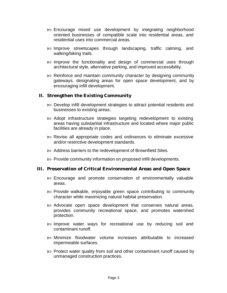- $\infty$  Encourage mixed use development by integrating neighborhood oriented businesses of compatible scale into residential areas, and residential uses into commercial areas.
- ó Improve streetscapes through landscaping, traffic calming, and walking/biking trails.
- $\infty$  Improve the functionality and design of commercial uses through architectural style, alternative parking, and improved accessibility.
- $\infty$  Reinforce and maintain community character by designing community gateways, designating areas for open space development, and by encouraging infill development.

#### **II. Strengthen the Existing Community**

- ó Develop infill development strategies to attract potential residents and businesses to existing areas.
- ó Adopt infrastructure strategies targeting redevelopment to existing areas having substantial infrastructure and located where major public facilities are already in place.
- ó Revise all appropriate codes and ordinances to eliminate excessive and/or restrictive development standards.
- $\infty$  Address barriers to the redevelopment of Brownfield Sites.
- ó Provide community information on proposed infill developments.

#### **III. Preservation of Critical Environmental Areas and Open Space**

- $\infty$  Encourage and promote conservation of environmentally valuable areas.
- ó Provide walkable, enjoyable green space contributing to community character while maximizing natural habitat preservation.
- $\infty$  Advocate open space development that conserves natural areas, provides community recreational space, and promotes watershed protection.
- ó Improve water ways for recreational use by reducing soil and contaminant runoff.
- ó Minimize floodwater volume increases attributable to increased impermeable surfaces.
- ó Protect water quality from soil and other contaminant runoff caused by unmanaged construction practices.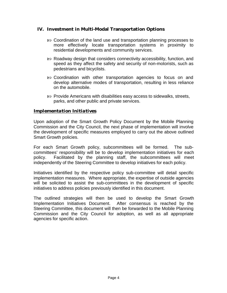#### **IV. Investment in Multi-Modal Transportation Options**

- ó Coordination of the land use and transportation planning processes to more effectively locate transportation systems in proximity to residential developments and community services.
- ó Roadway design that considers connectivity accessibility, function, and speed as they affect the safety and security of non-motorists, such as pedestrians and bicyclists.
- ó Coordination with other transportation agencies to focus on and develop alternative modes of transportation, resulting in less reliance on the automobile.
- ó Provide Americans with disabilities easy access to sidewalks, streets, parks, and other public and private services.

#### *Implementation Initiatives*

Upon adoption of the Smart Growth Policy Document by the Mobile Planning Commission and the City Council, the next phase of implementation will involve the development of specific measures employed to carry out the above outlined Smart Growth policies.

For each Smart Growth policy, subcommittees will be formed. The subcommittees' responsibility will be to develop implementation initiatives for each policy. Facilitated by the planning staff, the subcommittees will meet independently of the Steering Committee to develop initiatives for each policy.

Initiatives identified by the respective policy sub-committee will detail specific implementation measures. Where appropriate, the expertise of outside agencies will be solicited to assist the sub-committees in the development of specific initiatives to address policies previously identified in this document.

The outlined strategies will then be used to develop the Smart Growth Implementation Initiatives Document. After consensus is reached by the Steering Committee, this document will then be forwarded to the Mobile Planning Commission and the City Council for adoption, as well as all appropriate agencies for specific action.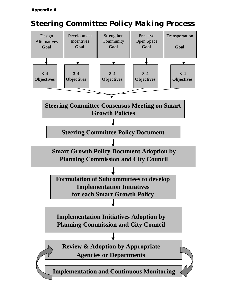#### *Appendix A*

# *Steering Committee Policy Making Process*